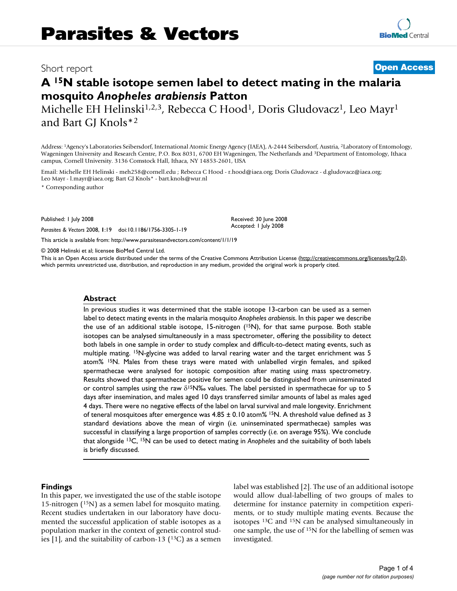# Short report **[Open Access](http://www.biomedcentral.com/info/about/charter/)**

# **A 15N stable isotope semen label to detect mating in the malaria mosquito** *Anopheles arabiensis* **Patton**

Michelle EH Helinski<sup>1,2,3</sup>, Rebecca C Hood<sup>1</sup>, Doris Gludovacz<sup>1</sup>, Leo Mayr<sup>1</sup> and Bart GJ Knols\*2

Address: 1Agency's Laboratories Seibersdorf, International Atomic Energy Agency (IAEA), A-2444 Seibersdorf, Austria, 2Laboratory of Entomology, Wageningen University and Research Centre, P.O. Box 8031, 6700 EH Wageningen, The Netherlands and 3Department of Entomology, Ithaca campus, Cornell University. 3136 Comstock Hall, Ithaca, NY 14853-2601, USA

Email: Michelle EH Helinski - meh258@cornell.edu ; Rebecca C Hood - r.hood@iaea.org; Doris Gludovacz - d.gludovacz@iaea.org; Leo Mayr - l.mayr@iaea.org; Bart GJ Knols\* - bart.knols@wur.nl

\* Corresponding author

Published: 1 July 2008

*Parasites & Vectors* 2008, **1**:19 doi:10.1186/1756-3305-1-19

Received: 30 June 2008 Accepted: 1 July 2008

[This article is available from: http://www.parasitesandvectors.com/content/1/1/19](http://www.parasitesandvectors.com/content/1/1/19)

© 2008 Helinski et al; licensee BioMed Central Ltd.

This is an Open Access article distributed under the terms of the Creative Commons Attribution License [\(http://creativecommons.org/licenses/by/2.0\)](http://creativecommons.org/licenses/by/2.0), which permits unrestricted use, distribution, and reproduction in any medium, provided the original work is properly cited.

#### **Abstract**

In previous studies it was determined that the stable isotope 13-carbon can be used as a semen label to detect mating events in the malaria mosquito *Anopheles arabiensis*. In this paper we describe the use of an additional stable isotope, 15-nitrogen  $(^{15}N)$ , for that same purpose. Both stable isotopes can be analysed simultaneously in a mass spectrometer, offering the possibility to detect both labels in one sample in order to study complex and difficult-to-detect mating events, such as multiple mating. <sup>15</sup>N-glycine was added to larval rearing water and the target enrichment was 5 atom% 15N. Males from these trays were mated with unlabelled virgin females, and spiked spermathecae were analysed for isotopic composition after mating using mass spectrometry. Results showed that spermathecae positive for semen could be distinguished from uninseminated or control samples using the raw  $\delta^{15}N\%$  values. The label persisted in spermathecae for up to 5 days after insemination, and males aged 10 days transferred similar amounts of label as males aged 4 days. There were no negative effects of the label on larval survival and male longevity. Enrichment of teneral mosquitoes after emergence was  $4.85 \pm 0.10$  atom% <sup>15</sup>N. A threshold value defined as 3 standard deviations above the mean of virgin (*i.e.* uninseminated spermathecae) samples was successful in classifying a large proportion of samples correctly (*i.e.* on average 95%). We conclude that alongside 13C, 15N can be used to detect mating in *Anopheles* and the suitability of both labels is briefly discussed.

#### **Findings**

In this paper, we investigated the use of the stable isotope 15-nitrogen (15N) as a semen label for mosquito mating. Recent studies undertaken in our laboratory have documented the successful application of stable isotopes as a population marker in the context of genetic control studies  $[1]$ , and the suitability of carbon-13  $($ <sup>13</sup>C $)$  as a semen label was established [2]. The use of an additional isotope would allow dual-labelling of two groups of males to determine for instance paternity in competition experiments, or to study multiple mating events. Because the isotopes 13C and 15N can be analysed simultaneously in one sample, the use of 15N for the labelling of semen was investigated.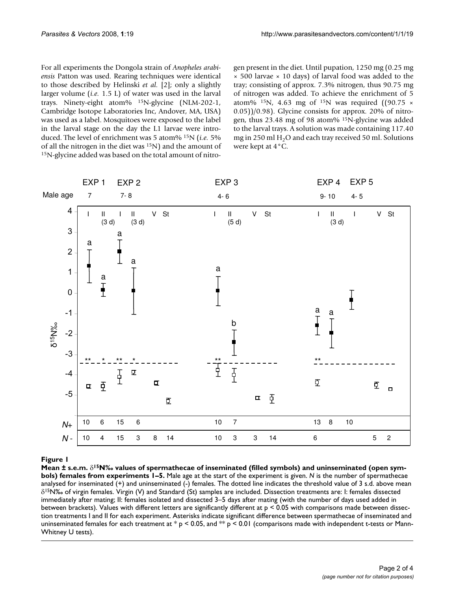For all experiments the Dongola strain of *Anopheles arabiensis* Patton was used. Rearing techniques were identical to those described by Helinski *et al.* [2]; only a slightly larger volume (*i.e.* 1.5 L) of water was used in the larval trays. Ninety-eight atom% 15N-glycine (NLM-202-1, Cambridge Isotope Laboratories Inc, Andover, MA, USA) was used as a label. Mosquitoes were exposed to the label in the larval stage on the day the L1 larvae were introduced. The level of enrichment was 5 atom% 15N (*i.e.* 5% of all the nitrogen in the diet was 15N) and the amount of 15N-glycine added was based on the total amount of nitrogen present in the diet. Until pupation, 1250 mg (0.25 mg  $\times$  500 larvae  $\times$  10 days) of larval food was added to the tray; consisting of approx. 7.3% nitrogen, thus 90.75 mg of nitrogen was added. To achieve the enrichment of 5 atom% <sup>15</sup>N, 4.63 mg of <sup>15</sup>N was required ((90.75  $\times$ 0.05))/0.98). Glycine consists for approx. 20% of nitrogen, thus 23.48 mg of 98 atom% 15N-glycine was added to the larval trays. A solution was made containing 117.40 mg in 250 ml  $H<sub>2</sub>O$  and each tray received 50 ml. Solutions were kept at 4°C.



# $\bf{F}$ igures 1–5  $\bf{F}$ igures of spermathecae of inseminated symbols) and uninseminated (open symbols) females from symbols) and uninseminated (open symbols) females from symbols) females from symbols) females from symbo

**Mean ± s.e.m.** δ**15N‰ values of spermathecae of inseminated (filled symbols) and uninseminated (open symbols) females from experiments 1–5.** Male age at the start of the experiment is given. *N* is the number of spermathecae analysed for inseminated (+) and uninseminated (-) females. The dotted line indicates the threshold value of 3 s.d. above mean  $\delta^{15}$ N‰ of virgin females. Virgin (V) and Standard (St) samples are included. Dissection treatments are: I: females dissected immediately after mating; II: females isolated and dissected 3–5 days after mating (with the number of days used added in between brackets). Values with different letters are significantly different at  $p < 0.05$  with comparisons made between dissection treatments I and II for each experiment. Asterisks indicate significant difference between spermathecae of inseminated and uninseminated females for each treatment at  $p < 0.05$ , and  $\gg p < 0.01$  (comparisons made with independent t-tests or Mann-Whitney U tests).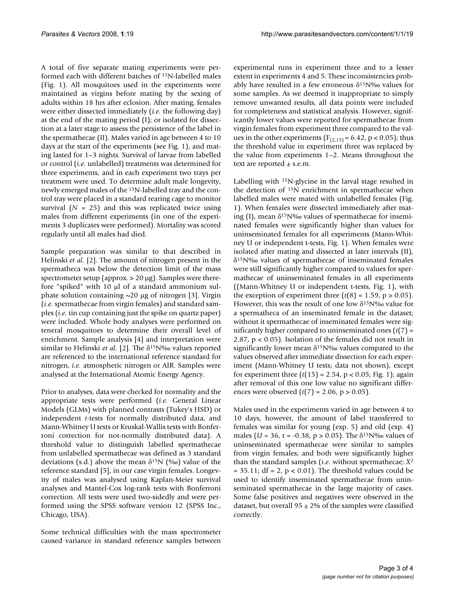A total of five separate mating experiments were performed each with different batches of 15N-labelled males (Fig. 1). All mosquitoes used in the experiments were maintained as virgins before mating by the sexing of adults within 18 hrs after eclosion. After mating, females were either dissected immediately (*i.e.* the following day) at the end of the mating period (I); or isolated for dissection at a later stage to assess the persistence of the label in the spermathecae (II). Males varied in age between 4 to 10 days at the start of the experiments (see Fig. 1), and mating lasted for 1–3 nights. Survival of larvae from labelled or control (*i.e.* unlabelled) treatments was determined for three experiments, and in each experiment two trays per treatment were used. To determine adult male longevity, newly emerged males of the 15N-labelled tray and the control tray were placed in a standard rearing cage to monitor survival  $(N = 25)$  and this was replicated twice using males from different experiments (in one of the experiments 3 duplicates were performed). Mortality was scored regularly until all males had died.

Sample preparation was similar to that described in Helinski *et al.* [2]. The amount of nitrogen present in the spermatheca was below the detection limit of the mass spectrometer setup (approx. > 20 μg). Samples were therefore "spiked" with 10 μl of a standard ammonium sulphate solution containing  $\sim$  20 μg of nitrogen [3]. Virgin (*i.e.* spermathecae from virgin females) and standard samples (*i.e.* tin cup containing just the spike on quartz paper) were included. Whole body analyses were performed on teneral mosquitoes to determine their overall level of enrichment. Sample analysis [4] and interpretation were similar to Helinski *et al.* [2]. The δ15N‰ values reported are referenced to the international reference standard for nitrogen, *i.e.* atmospheric nitrogen or AIR. Samples were analysed at the International Atomic Energy Agency.

Prior to analyses, data were checked for normality and the appropriate tests were performed (*i.e.* General Linear Models (GLMs) with planned contrasts (Tukey's HSD) or independent *t*-tests for normally distributed data, and Mann-Whitney U tests or Kruskal-Wallis tests with Bonferroni correction for not-normally distributed data). A threshold value to distinguish labelled spermathecae from unlabelled spermathecae was defined as 3 standard deviations (s.d.) above the mean  $\delta^{15}N$  (‰) value of the reference standard [5], in our case virgin females. Longevity of males was analysed using Kaplan-Meier survival analyses and Mantel-Cox log-rank tests with Bonferroni correction. All tests were used two-sidedly and were performed using the SPSS software version 12 (SPSS Inc., Chicago, USA).

Some technical difficulties with the mass spectrometer caused variance in standard reference samples between

experimental runs in experiment three and to a lesser extent in experiments 4 and 5. These inconsistencies probably have resulted in a few erroneous  $\delta^{15}N\%$  values for some samples. As we deemed it inappropriate to simply remove unwanted results, all data points were included for completeness and statistical analysis. However, significantly lower values were reported for spermathecae from virgin females from experiment three compared to the values in the other experiments ( $F_{(2,13)} = 6.42$ ,  $p < 0.05$ ); thus the threshold value in experiment three was replaced by the value from experiments 1–2. Means throughout the text are reported  $\pm$  s.e.m.

Labelling with 15N-glycine in the larval stage resulted in the detection of 15N enrichment in spermathecae when labelled males were mated with unlabelled females (Fig. 1). When females were dissected immediately after mating (I), mean  $\delta^{15}N\%$  values of spermathecae for inseminated females were significantly higher than values for uninseminated females for all experiments (Mann-Whitney U or independent t-tests, Fig. 1). When females were isolated after mating and dissected at later intervals (II), δ15N‰ values of spermathecae of inseminated females were still significantly higher compared to values for spermathecae of uninseminated females in all experiments ((Mann-Whitney U or independent t-tests, Fig. 1), with the exception of experiment three  $(t(8) = 1.59, p > 0.05)$ . However, this was the result of one low  $\delta^{15}N\%$  value for a spermatheca of an inseminated female in the dataset; without it spermathecae of inseminated females were significantly higher compared to uninseminated ones (*t*(7) = 2.87, p < 0.05). Isolation of the females did not result in significantly lower mean  $\delta^{15}N\%$  values compared to the values observed after immediate dissection for each experiment (Mann-Whitney U tests; data not shown), except for experiment three (*t*(15) = 2.54, p < 0.05; Fig. 1); again after removal of this one low value no significant differences were observed  $(t(7) = 2.06, p > 0.05)$ .

Males used in the experiments varied in age between 4 to 10 days, however, the amount of label transferred to females was similar for young (exp. 5) and old (exp. 4) males (*U* = 36, r = -0.38, p > 0.05). The δ15N‰ values of uninseminated spermathecae were similar to samples from virgin females; and both were significantly higher than the standard samples (*i.e.* without spermathecae; *X*<sup>2</sup>  $= 35.11$ ; df  $= 2$ ,  $p < 0.01$ ). The threshold values could be used to identify inseminated spermathecae from uninseminated spermathecae in the large majority of cases. Some false positives and negatives were observed in the dataset, but overall  $95 \pm 2\%$  of the samples were classified correctly.